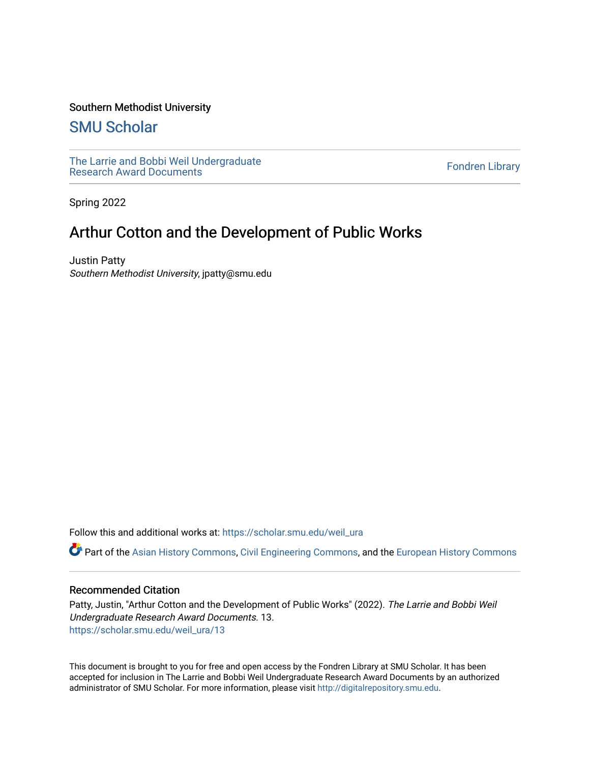### Southern Methodist University

## [SMU Scholar](https://scholar.smu.edu/)

[The Larrie and Bobbi Weil Undergraduate](https://scholar.smu.edu/weil_ura) The Lattle and Bobbi wen Undergraduate<br>[Research Award Documents](https://scholar.smu.edu/weil_ura)

Spring 2022

# Arthur Cotton and the Development of Public Works

Justin Patty Southern Methodist University, jpatty@smu.edu

Follow this and additional works at: [https://scholar.smu.edu/weil\\_ura](https://scholar.smu.edu/weil_ura?utm_source=scholar.smu.edu%2Fweil_ura%2F13&utm_medium=PDF&utm_campaign=PDFCoverPages)

Part of the [Asian History Commons](http://network.bepress.com/hgg/discipline/491?utm_source=scholar.smu.edu%2Fweil_ura%2F13&utm_medium=PDF&utm_campaign=PDFCoverPages), [Civil Engineering Commons,](http://network.bepress.com/hgg/discipline/252?utm_source=scholar.smu.edu%2Fweil_ura%2F13&utm_medium=PDF&utm_campaign=PDFCoverPages) and the [European History Commons](http://network.bepress.com/hgg/discipline/492?utm_source=scholar.smu.edu%2Fweil_ura%2F13&utm_medium=PDF&utm_campaign=PDFCoverPages)

#### Recommended Citation

Patty, Justin, "Arthur Cotton and the Development of Public Works" (2022). The Larrie and Bobbi Weil Undergraduate Research Award Documents. 13. [https://scholar.smu.edu/weil\\_ura/13](https://scholar.smu.edu/weil_ura/13?utm_source=scholar.smu.edu%2Fweil_ura%2F13&utm_medium=PDF&utm_campaign=PDFCoverPages) 

This document is brought to you for free and open access by the Fondren Library at SMU Scholar. It has been accepted for inclusion in The Larrie and Bobbi Weil Undergraduate Research Award Documents by an authorized administrator of SMU Scholar. For more information, please visit [http://digitalrepository.smu.edu](http://digitalrepository.smu.edu/).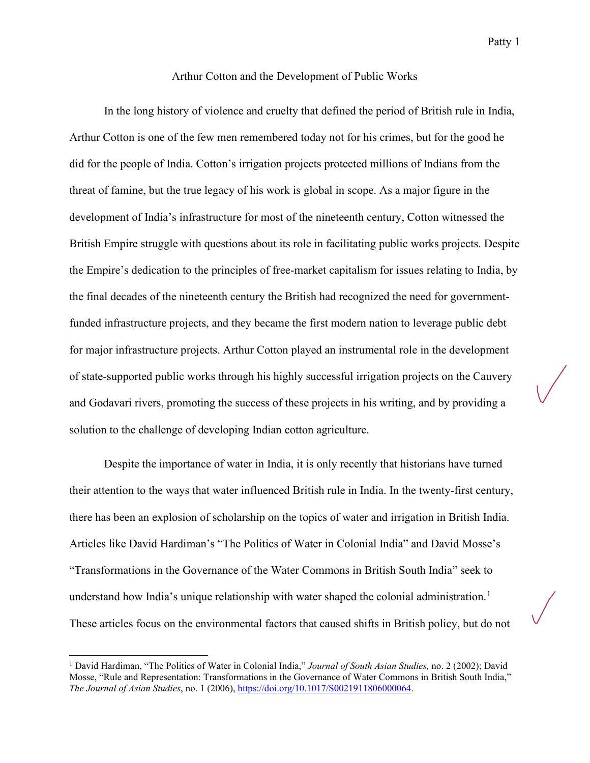#### Arthur Cotton and the Development of Public Works

In the long history of violence and cruelty that defined the period of British rule in India, Arthur Cotton is one of the few men remembered today not for his crimes, but for the good he did for the people of India. Cotton's irrigation projects protected millions of Indians from the threat of famine, but the true legacy of his work is global in scope. As a major figure in the development of India's infrastructure for most of the nineteenth century, Cotton witnessed the British Empire struggle with questions about its role in facilitating public works projects. Despite the Empire's dedication to the principles of free-market capitalism for issues relating to India, by the final decades of the nineteenth century the British had recognized the need for governmentfunded infrastructure projects, and they became the first modern nation to leverage public debt for major infrastructure projects. Arthur Cotton played an instrumental role in the development of state-supported public works through his highly successful irrigation projects on the Cauvery and Godavari rivers, promoting the success of these projects in his writing, and by providing a solution to the challenge of developing Indian cotton agriculture.

Despite the importance of water in India, it is only recently that historians have turned their attention to the ways that water influenced British rule in India. In the twenty-first century, there has been an explosion of scholarship on the topics of water and irrigation in British India. Articles like David Hardiman's "The Politics of Water in Colonial India" and David Mosse's "Transformations in the Governance of the Water Commons in British South India" seek to understand how India's unique relationship with water shaped the colonial administration.<sup>[1](#page-1-0)</sup> These articles focus on the environmental factors that caused shifts in British policy, but do not

<span id="page-1-0"></span><sup>1</sup> David Hardiman, "The Politics of Water in Colonial India," *Journal of South Asian Studies,* no. 2 (2002); David Mosse, "Rule and Representation: Transformations in the Governance of Water Commons in British South India," *The Journal of Asian Studies*, no. 1 (2006)[, https://doi.org/10.1017/S0021911806000064.](https://doi.org/10.1017/S0021911806000064)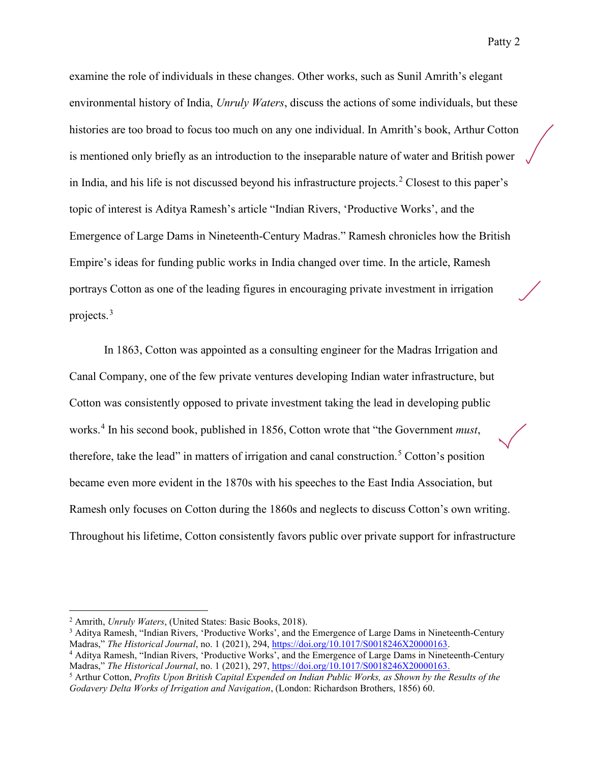examine the role of individuals in these changes. Other works, such as Sunil Amrith's elegant environmental history of India, *Unruly Waters*, discuss the actions of some individuals, but these histories are too broad to focus too much on any one individual. In Amrith's book, Arthur Cotton is mentioned only briefly as an introduction to the inseparable nature of water and British power in India, and his life is not discussed beyond his infrastructure projects.[2](#page-2-0) Closest to this paper's topic of interest is Aditya Ramesh's article "Indian Rivers, 'Productive Works', and the Emergence of Large Dams in Nineteenth-Century Madras." Ramesh chronicles how the British Empire's ideas for funding public works in India changed over time. In the article, Ramesh portrays Cotton as one of the leading figures in encouraging private investment in irrigation projects.[3](#page-2-1)

In 1863, Cotton was appointed as a consulting engineer for the Madras Irrigation and Canal Company, one of the few private ventures developing Indian water infrastructure, but Cotton was consistently opposed to private investment taking the lead in developing public works. [4](#page-2-2) In his second book, published in 1856, Cotton wrote that "the Government *must*, therefore, take the lead" in matters of irrigation and canal construction.<sup>[5](#page-2-3)</sup> Cotton's position became even more evident in the 1870s with his speeches to the East India Association, but Ramesh only focuses on Cotton during the 1860s and neglects to discuss Cotton's own writing. Throughout his lifetime, Cotton consistently favors public over private support for infrastructure

<span id="page-2-0"></span><sup>2</sup> Amrith, *Unruly Waters*, (United States: Basic Books, 2018).

<span id="page-2-1"></span><sup>&</sup>lt;sup>3</sup> Aditya Ramesh, "Indian Rivers, 'Productive Works', and the Emergence of Large Dams in Nineteenth-Century Madras," *The Historical Journal*, no. 1 (2021), 294, [https://doi.org/10.1017/S0018246X20000163.](https://doi.org/10.1017/S0018246X20000163)

<span id="page-2-2"></span><sup>4</sup> Aditya Ramesh, "Indian Rivers, 'Productive Works', and the Emergence of Large Dams in Nineteenth-Century Madras," *The Historical Journal*, no. 1 (2021), 297, [https://doi.org/10.1017/S0018246X20000163.](https://doi.org/10.1017/S0018246X20000163)

<span id="page-2-3"></span><sup>5</sup> Arthur Cotton, *Profits Upon British Capital Expended on Indian Public Works, as Shown by the Results of the Godavery Delta Works of Irrigation and Navigation*, (London: Richardson Brothers, 1856) 60.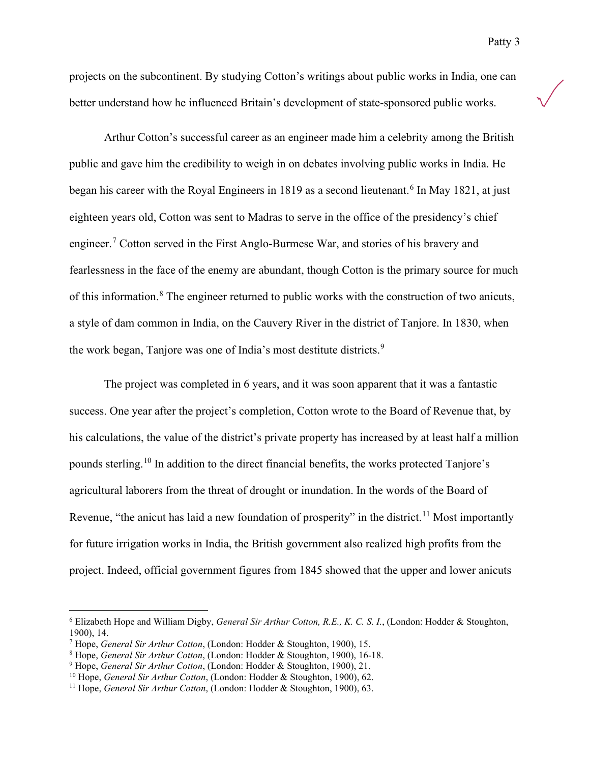projects on the subcontinent. By studying Cotton's writings about public works in India, one can better understand how he influenced Britain's development of state-sponsored public works.

Arthur Cotton's successful career as an engineer made him a celebrity among the British public and gave him the credibility to weigh in on debates involving public works in India. He began his career with the Royal Engineers in 1819 as a second lieutenant.<sup>[6](#page-3-0)</sup> In May 1821, at just eighteen years old, Cotton was sent to Madras to serve in the office of the presidency's chief engineer.<sup>[7](#page-3-1)</sup> Cotton served in the First Anglo-Burmese War, and stories of his bravery and fearlessness in the face of the enemy are abundant, though Cotton is the primary source for much of this information.<sup>[8](#page-3-2)</sup> The engineer returned to public works with the construction of two anicuts, a style of dam common in India, on the Cauvery River in the district of Tanjore. In 1830, when the work began, Tanjore was one of India's most destitute districts.<sup>[9](#page-3-3)</sup>

The project was completed in 6 years, and it was soon apparent that it was a fantastic success. One year after the project's completion, Cotton wrote to the Board of Revenue that, by his calculations, the value of the district's private property has increased by at least half a million pounds sterling.[10](#page-3-4) In addition to the direct financial benefits, the works protected Tanjore's agricultural laborers from the threat of drought or inundation. In the words of the Board of Revenue, "the anicut has laid a new foundation of prosperity" in the district.<sup>[11](#page-3-5)</sup> Most importantly for future irrigation works in India, the British government also realized high profits from the project. Indeed, official government figures from 1845 showed that the upper and lower anicuts

<span id="page-3-0"></span><sup>6</sup> Elizabeth Hope and William Digby, *General Sir Arthur Cotton, R.E., K. C. S. I.*, (London: Hodder & Stoughton, 1900), 14.

<span id="page-3-1"></span><sup>7</sup> Hope, *General Sir Arthur Cotton*, (London: Hodder & Stoughton, 1900), 15.

<span id="page-3-2"></span><sup>8</sup> Hope, *General Sir Arthur Cotton*, (London: Hodder & Stoughton, 1900), 16-18.

<span id="page-3-3"></span><sup>9</sup> Hope, *General Sir Arthur Cotton*, (London: Hodder & Stoughton, 1900), 21.

<span id="page-3-4"></span><sup>10</sup> Hope, *General Sir Arthur Cotton*, (London: Hodder & Stoughton, 1900), 62.

<span id="page-3-5"></span><sup>11</sup> Hope, *General Sir Arthur Cotton*, (London: Hodder & Stoughton, 1900), 63.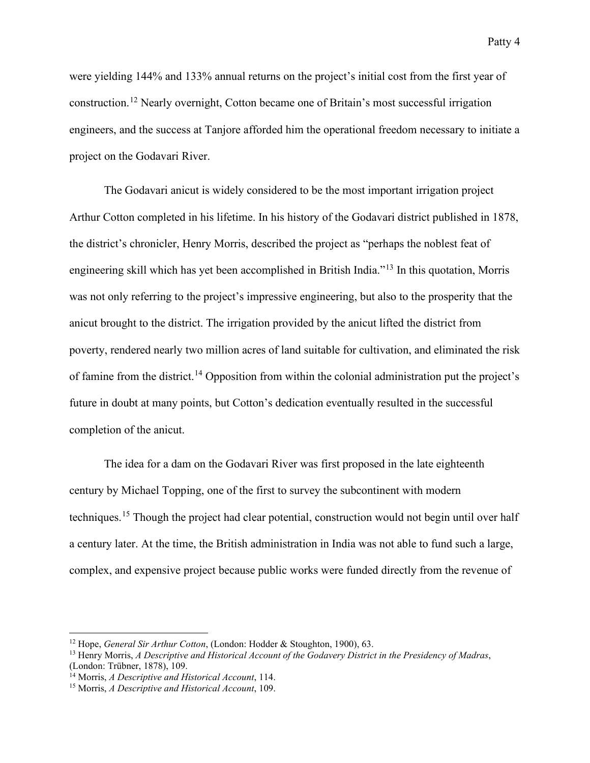were yielding 144% and 133% annual returns on the project's initial cost from the first year of construction.[12](#page-4-0) Nearly overnight, Cotton became one of Britain's most successful irrigation engineers, and the success at Tanjore afforded him the operational freedom necessary to initiate a project on the Godavari River.

The Godavari anicut is widely considered to be the most important irrigation project Arthur Cotton completed in his lifetime. In his history of the Godavari district published in 1878, the district's chronicler, Henry Morris, described the project as "perhaps the noblest feat of engineering skill which has yet been accomplished in British India."[13](#page-4-1) In this quotation, Morris was not only referring to the project's impressive engineering, but also to the prosperity that the anicut brought to the district. The irrigation provided by the anicut lifted the district from poverty, rendered nearly two million acres of land suitable for cultivation, and eliminated the risk of famine from the district.<sup>[14](#page-4-2)</sup> Opposition from within the colonial administration put the project's future in doubt at many points, but Cotton's dedication eventually resulted in the successful completion of the anicut.

The idea for a dam on the Godavari River was first proposed in the late eighteenth century by Michael Topping, one of the first to survey the subcontinent with modern techniques.[15](#page-4-3) Though the project had clear potential, construction would not begin until over half a century later. At the time, the British administration in India was not able to fund such a large, complex, and expensive project because public works were funded directly from the revenue of

<span id="page-4-0"></span><sup>12</sup> Hope, *General Sir Arthur Cotton*, (London: Hodder & Stoughton, 1900), 63.

<span id="page-4-1"></span><sup>13</sup> Henry Morris, *A Descriptive and Historical Account of the Godavery District in the Presidency of Madras*, (London: Trübner, 1878), 109.

<span id="page-4-2"></span><sup>14</sup> Morris, *A Descriptive and Historical Account*, 114.

<span id="page-4-3"></span><sup>15</sup> Morris, *A Descriptive and Historical Account*, 109.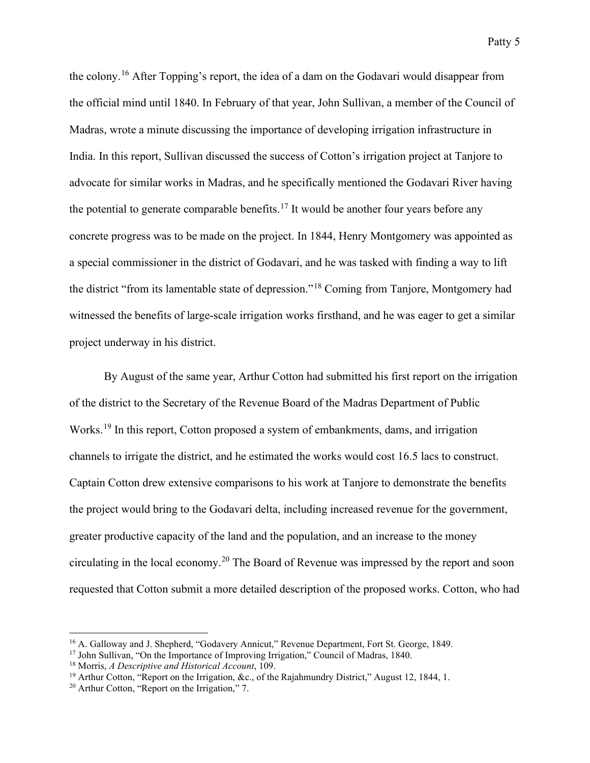the colony.<sup>[16](#page-5-0)</sup> After Topping's report, the idea of a dam on the Godavari would disappear from the official mind until 1840. In February of that year, John Sullivan, a member of the Council of Madras, wrote a minute discussing the importance of developing irrigation infrastructure in India. In this report, Sullivan discussed the success of Cotton's irrigation project at Tanjore to advocate for similar works in Madras, and he specifically mentioned the Godavari River having the potential to generate comparable benefits.<sup>[17](#page-5-1)</sup> It would be another four years before any concrete progress was to be made on the project. In 1844, Henry Montgomery was appointed as a special commissioner in the district of Godavari, and he was tasked with finding a way to lift the district "from its lamentable state of depression."[18](#page-5-2) Coming from Tanjore, Montgomery had witnessed the benefits of large-scale irrigation works firsthand, and he was eager to get a similar project underway in his district.

By August of the same year, Arthur Cotton had submitted his first report on the irrigation of the district to the Secretary of the Revenue Board of the Madras Department of Public Works.<sup>[19](#page-5-3)</sup> In this report, Cotton proposed a system of embankments, dams, and irrigation channels to irrigate the district, and he estimated the works would cost 16.5 lacs to construct. Captain Cotton drew extensive comparisons to his work at Tanjore to demonstrate the benefits the project would bring to the Godavari delta, including increased revenue for the government, greater productive capacity of the land and the population, and an increase to the money circulating in the local economy.<sup>[20](#page-5-4)</sup> The Board of Revenue was impressed by the report and soon requested that Cotton submit a more detailed description of the proposed works. Cotton, who had

<span id="page-5-0"></span><sup>16</sup> A. Galloway and J. Shepherd, "Godavery Annicut," Revenue Department, Fort St. George, 1849.

<span id="page-5-1"></span><sup>&</sup>lt;sup>17</sup> John Sullivan, "On the Importance of Improving Irrigation," Council of Madras, 1840.

<span id="page-5-2"></span><sup>18</sup> Morris, *A Descriptive and Historical Account*, 109.

<span id="page-5-3"></span><sup>&</sup>lt;sup>19</sup> Arthur Cotton, "Report on the Irrigation, &c., of the Rajahmundry District," August 12, 1844, 1.

<span id="page-5-4"></span><sup>20</sup> Arthur Cotton, "Report on the Irrigation," 7.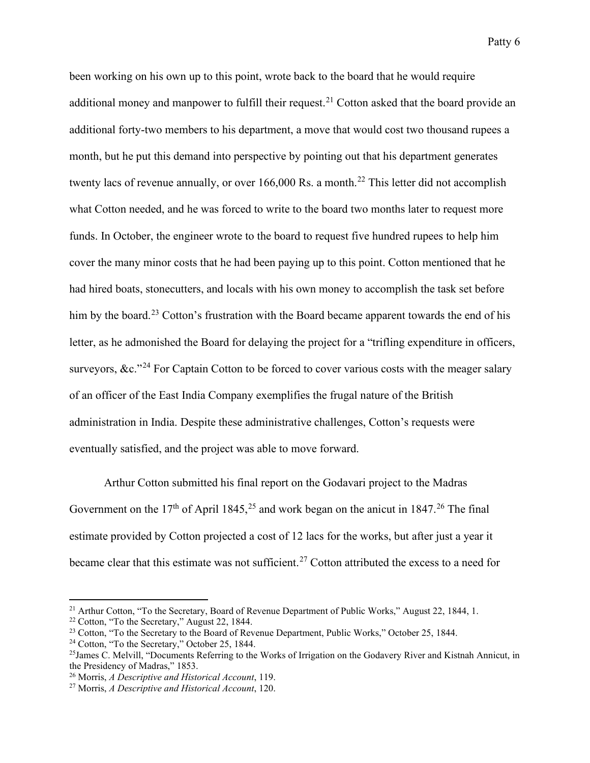been working on his own up to this point, wrote back to the board that he would require additional money and manpower to fulfill their request.<sup>[21](#page-6-0)</sup> Cotton asked that the board provide an additional forty-two members to his department, a move that would cost two thousand rupees a month, but he put this demand into perspective by pointing out that his department generates twenty lacs of revenue annually, or over 166,000 Rs. a month.<sup>[22](#page-6-1)</sup> This letter did not accomplish what Cotton needed, and he was forced to write to the board two months later to request more funds. In October, the engineer wrote to the board to request five hundred rupees to help him cover the many minor costs that he had been paying up to this point. Cotton mentioned that he had hired boats, stonecutters, and locals with his own money to accomplish the task set before him by the board.<sup>[23](#page-6-2)</sup> Cotton's frustration with the Board became apparent towards the end of his letter, as he admonished the Board for delaying the project for a "trifling expenditure in officers, surveyors,  $\&c$ ."<sup>[24](#page-6-3)</sup> For Captain Cotton to be forced to cover various costs with the meager salary of an officer of the East India Company exemplifies the frugal nature of the British administration in India. Despite these administrative challenges, Cotton's requests were eventually satisfied, and the project was able to move forward.

Arthur Cotton submitted his final report on the Godavari project to the Madras Government on the 17<sup>th</sup> of April 1845,<sup>[25](#page-6-4)</sup> and work began on the anicut in 1847.<sup>[26](#page-6-5)</sup> The final estimate provided by Cotton projected a cost of 12 lacs for the works, but after just a year it became clear that this estimate was not sufficient.<sup>[27](#page-6-6)</sup> Cotton attributed the excess to a need for

<span id="page-6-0"></span><sup>&</sup>lt;sup>21</sup> Arthur Cotton, "To the Secretary, Board of Revenue Department of Public Works," August 22, 1844, 1.

<span id="page-6-1"></span><sup>22</sup> Cotton, "To the Secretary," August 22, 1844.

<span id="page-6-2"></span><sup>&</sup>lt;sup>23</sup> Cotton, "To the Secretary to the Board of Revenue Department, Public Works," October 25, 1844.

<span id="page-6-3"></span><sup>24</sup> Cotton, "To the Secretary," October 25, 1844.

<span id="page-6-4"></span> $^{25}$ James C. Melvill, "Documents Referring to the Works of Irrigation on the Godavery River and Kistnah Annicut, in the Presidency of Madras," 1853.

<span id="page-6-5"></span><sup>26</sup> Morris, *A Descriptive and Historical Account*, 119.

<span id="page-6-6"></span><sup>27</sup> Morris, *A Descriptive and Historical Account*, 120.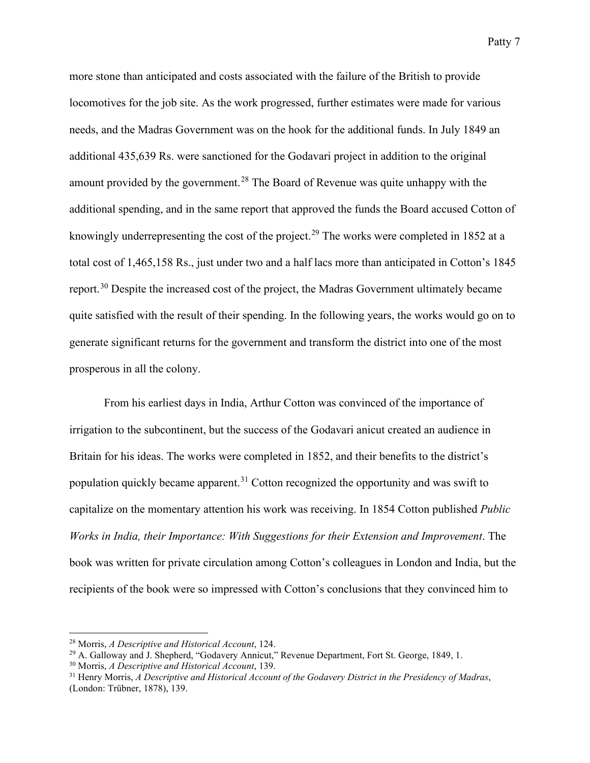more stone than anticipated and costs associated with the failure of the British to provide locomotives for the job site. As the work progressed, further estimates were made for various needs, and the Madras Government was on the hook for the additional funds. In July 1849 an additional 435,639 Rs. were sanctioned for the Godavari project in addition to the original amount provided by the government.<sup>[28](#page-7-0)</sup> The Board of Revenue was quite unhappy with the additional spending, and in the same report that approved the funds the Board accused Cotton of knowingly underrepresenting the cost of the project.<sup>[29](#page-7-1)</sup> The works were completed in 1852 at a total cost of 1,465,158 Rs., just under two and a half lacs more than anticipated in Cotton's 1845 report.<sup>[30](#page-7-2)</sup> Despite the increased cost of the project, the Madras Government ultimately became quite satisfied with the result of their spending. In the following years, the works would go on to generate significant returns for the government and transform the district into one of the most prosperous in all the colony.

From his earliest days in India, Arthur Cotton was convinced of the importance of irrigation to the subcontinent, but the success of the Godavari anicut created an audience in Britain for his ideas. The works were completed in 1852, and their benefits to the district's population quickly became apparent.<sup>[31](#page-7-3)</sup> Cotton recognized the opportunity and was swift to capitalize on the momentary attention his work was receiving. In 1854 Cotton published *Public Works in India, their Importance: With Suggestions for their Extension and Improvement*. The book was written for private circulation among Cotton's colleagues in London and India, but the recipients of the book were so impressed with Cotton's conclusions that they convinced him to

<span id="page-7-0"></span><sup>28</sup> Morris, *A Descriptive and Historical Account*, 124.

<span id="page-7-1"></span><sup>29</sup> A. Galloway and J. Shepherd, "Godavery Annicut," Revenue Department, Fort St. George, 1849, 1.

<span id="page-7-2"></span><sup>30</sup> Morris, *A Descriptive and Historical Account*, 139.

<span id="page-7-3"></span><sup>31</sup> Henry Morris, *A Descriptive and Historical Account of the Godavery District in the Presidency of Madras*, (London: Trübner, 1878), 139.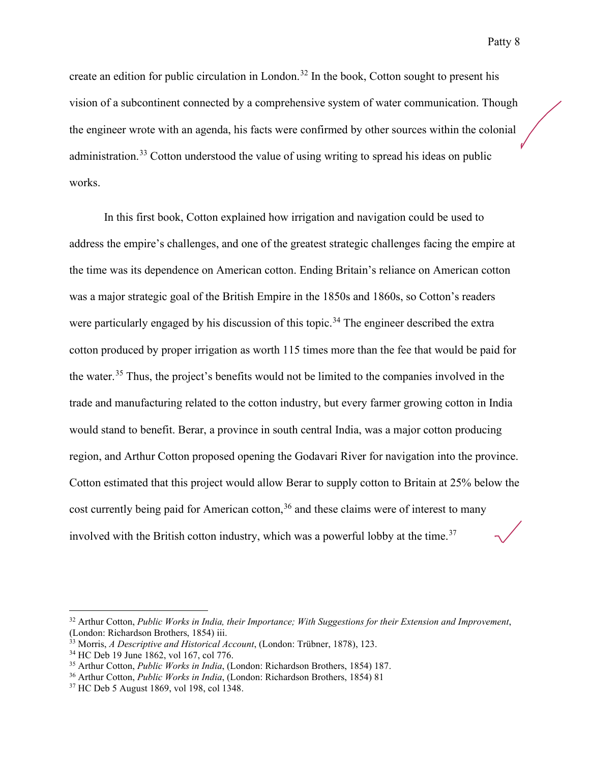create an edition for public circulation in London.<sup>[32](#page-8-0)</sup> In the book, Cotton sought to present his vision of a subcontinent connected by a comprehensive system of water communication. Though the engineer wrote with an agenda, his facts were confirmed by other sources within the colonial administration.<sup>[33](#page-8-1)</sup> Cotton understood the value of using writing to spread his ideas on public works.

In this first book, Cotton explained how irrigation and navigation could be used to address the empire's challenges, and one of the greatest strategic challenges facing the empire at the time was its dependence on American cotton. Ending Britain's reliance on American cotton was a major strategic goal of the British Empire in the 1850s and 1860s, so Cotton's readers were particularly engaged by his discussion of this topic.<sup>[34](#page-8-2)</sup> The engineer described the extra cotton produced by proper irrigation as worth 115 times more than the fee that would be paid for the water.[35](#page-8-3) Thus, the project's benefits would not be limited to the companies involved in the trade and manufacturing related to the cotton industry, but every farmer growing cotton in India would stand to benefit. Berar, a province in south central India, was a major cotton producing region, and Arthur Cotton proposed opening the Godavari River for navigation into the province. Cotton estimated that this project would allow Berar to supply cotton to Britain at 25% below the cost currently being paid for American cotton,  $36$  and these claims were of interest to many involved with the British cotton industry, which was a powerful lobby at the time.<sup>[37](#page-8-5)</sup>

<span id="page-8-0"></span><sup>32</sup> Arthur Cotton, *Public Works in India, their Importance; With Suggestions for their Extension and Improvement*, (London: Richardson Brothers, 1854) iii.

<span id="page-8-1"></span><sup>33</sup> Morris, *A Descriptive and Historical Account*, (London: Trübner, 1878), 123.

<span id="page-8-2"></span><sup>34</sup> HC Deb 19 June 1862, vol 167, col 776.

<span id="page-8-3"></span><sup>35</sup> Arthur Cotton, *Public Works in India*, (London: Richardson Brothers, 1854) 187.

<span id="page-8-4"></span><sup>36</sup> Arthur Cotton, *Public Works in India*, (London: Richardson Brothers, 1854) 81

<span id="page-8-5"></span><sup>37</sup> HC Deb 5 August 1869, vol 198, col 1348.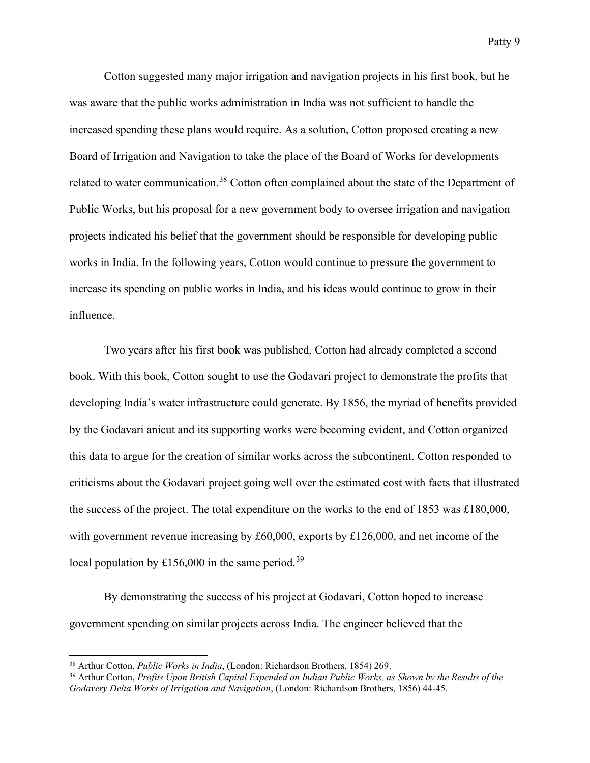Cotton suggested many major irrigation and navigation projects in his first book, but he was aware that the public works administration in India was not sufficient to handle the increased spending these plans would require. As a solution, Cotton proposed creating a new Board of Irrigation and Navigation to take the place of the Board of Works for developments related to water communication.<sup>[38](#page-9-0)</sup> Cotton often complained about the state of the Department of Public Works, but his proposal for a new government body to oversee irrigation and navigation projects indicated his belief that the government should be responsible for developing public works in India. In the following years, Cotton would continue to pressure the government to increase its spending on public works in India, and his ideas would continue to grow in their influence.

Two years after his first book was published, Cotton had already completed a second book. With this book, Cotton sought to use the Godavari project to demonstrate the profits that developing India's water infrastructure could generate. By 1856, the myriad of benefits provided by the Godavari anicut and its supporting works were becoming evident, and Cotton organized this data to argue for the creation of similar works across the subcontinent. Cotton responded to criticisms about the Godavari project going well over the estimated cost with facts that illustrated the success of the project. The total expenditure on the works to the end of 1853 was £180,000, with government revenue increasing by £60,000, exports by £126,000, and net income of the local population by £156,000 in the same period.<sup>[39](#page-9-1)</sup>

By demonstrating the success of his project at Godavari, Cotton hoped to increase government spending on similar projects across India. The engineer believed that the

<span id="page-9-0"></span><sup>38</sup> Arthur Cotton, *Public Works in India*, (London: Richardson Brothers, 1854) 269.

<span id="page-9-1"></span><sup>39</sup> Arthur Cotton, *Profits Upon British Capital Expended on Indian Public Works, as Shown by the Results of the Godavery Delta Works of Irrigation and Navigation*, (London: Richardson Brothers, 1856) 44-45.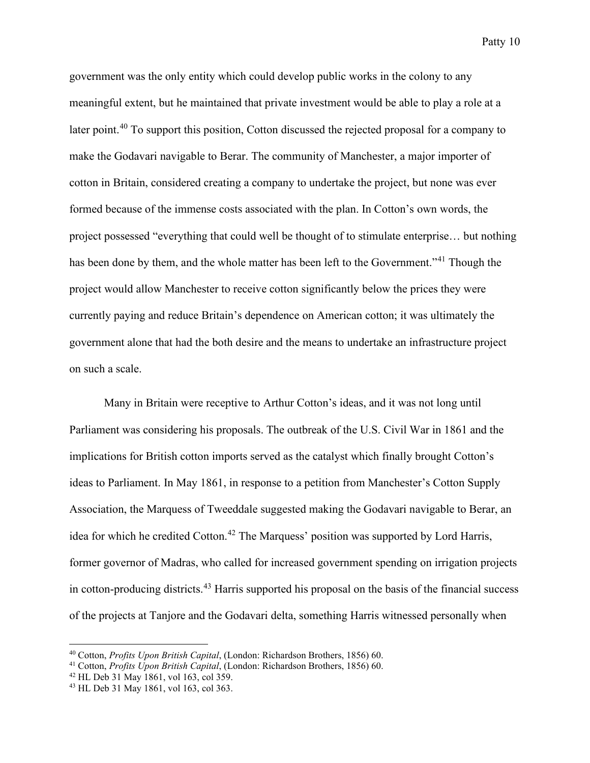government was the only entity which could develop public works in the colony to any meaningful extent, but he maintained that private investment would be able to play a role at a later point.<sup>[40](#page-10-0)</sup> To support this position, Cotton discussed the rejected proposal for a company to make the Godavari navigable to Berar. The community of Manchester, a major importer of cotton in Britain, considered creating a company to undertake the project, but none was ever formed because of the immense costs associated with the plan. In Cotton's own words, the project possessed "everything that could well be thought of to stimulate enterprise… but nothing has been done by them, and the whole matter has been left to the Government."<sup>[41](#page-10-1)</sup> Though the project would allow Manchester to receive cotton significantly below the prices they were currently paying and reduce Britain's dependence on American cotton; it was ultimately the government alone that had the both desire and the means to undertake an infrastructure project on such a scale.

Many in Britain were receptive to Arthur Cotton's ideas, and it was not long until Parliament was considering his proposals. The outbreak of the U.S. Civil War in 1861 and the implications for British cotton imports served as the catalyst which finally brought Cotton's ideas to Parliament. In May 1861, in response to a petition from Manchester's Cotton Supply Association, the Marquess of Tweeddale suggested making the Godavari navigable to Berar, an idea for which he credited Cotton.<sup>[42](#page-10-2)</sup> The Marquess' position was supported by Lord Harris, former governor of Madras, who called for increased government spending on irrigation projects in cotton-producing districts.<sup>[43](#page-10-3)</sup> Harris supported his proposal on the basis of the financial success of the projects at Tanjore and the Godavari delta, something Harris witnessed personally when

<span id="page-10-0"></span><sup>40</sup> Cotton, *Profits Upon British Capital*, (London: Richardson Brothers, 1856) 60.

<span id="page-10-1"></span><sup>41</sup> Cotton, *Profits Upon British Capital*, (London: Richardson Brothers, 1856) 60.

<span id="page-10-2"></span> $42$  HL Deb 31 May 1861, vol 163, col 359.

<span id="page-10-3"></span><sup>43</sup> HL Deb 31 May 1861, vol 163, col 363.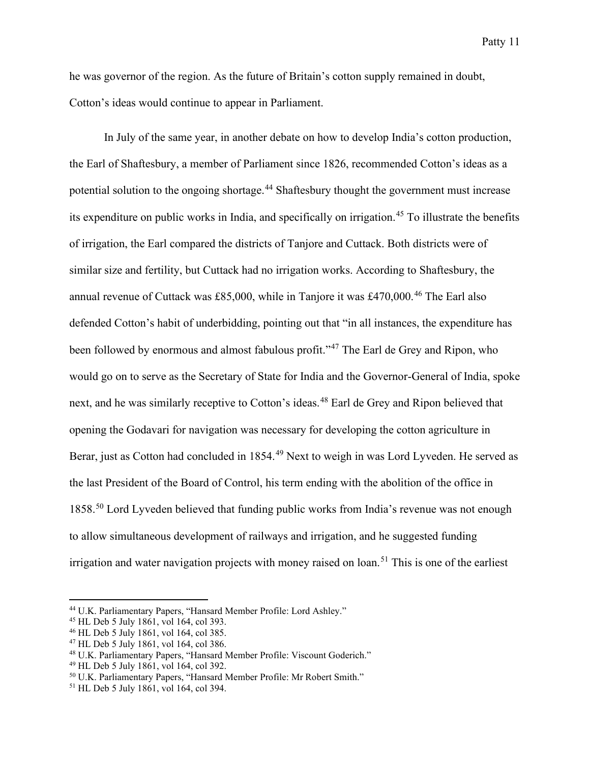he was governor of the region. As the future of Britain's cotton supply remained in doubt, Cotton's ideas would continue to appear in Parliament.

In July of the same year, in another debate on how to develop India's cotton production, the Earl of Shaftesbury, a member of Parliament since 1826, recommended Cotton's ideas as a potential solution to the ongoing shortage.<sup>[44](#page-11-0)</sup> Shaftesbury thought the government must increase its expenditure on public works in India, and specifically on irrigation.<sup>[45](#page-11-1)</sup> To illustrate the benefits of irrigation, the Earl compared the districts of Tanjore and Cuttack. Both districts were of similar size and fertility, but Cuttack had no irrigation works. According to Shaftesbury, the annual revenue of Cuttack was £85,000, while in Tanjore it was £470,000.<sup>[46](#page-11-2)</sup> The Earl also defended Cotton's habit of underbidding, pointing out that "in all instances, the expenditure has been followed by enormous and almost fabulous profit."<sup>[47](#page-11-3)</sup> The Earl de Grey and Ripon, who would go on to serve as the Secretary of State for India and the Governor-General of India, spoke next, and he was similarly receptive to Cotton's ideas.<sup>[48](#page-11-4)</sup> Earl de Grey and Ripon believed that opening the Godavari for navigation was necessary for developing the cotton agriculture in Berar, just as Cotton had concluded in 1854.<sup>[49](#page-11-5)</sup> Next to weigh in was Lord Lyveden. He served as the last President of the Board of Control, his term ending with the abolition of the office in 1858.<sup>[50](#page-11-6)</sup> Lord Lyveden believed that funding public works from India's revenue was not enough to allow simultaneous development of railways and irrigation, and he suggested funding irrigation and water navigation projects with money raised on loan. [51](#page-11-7) This is one of the earliest

<span id="page-11-0"></span><sup>44</sup> U.K. Parliamentary Papers, "Hansard Member Profile: Lord Ashley."

<span id="page-11-1"></span><sup>45</sup> HL Deb 5 July 1861, vol 164, col 393.

<span id="page-11-2"></span><sup>46</sup> HL Deb 5 July 1861, vol 164, col 385.

<span id="page-11-3"></span> $47$  HL Deb 5 July 1861, vol 164, col 386.

<span id="page-11-4"></span><sup>48</sup> U.K. Parliamentary Papers, "Hansard Member Profile: Viscount Goderich."

<span id="page-11-5"></span><sup>49</sup> HL Deb 5 July 1861, vol 164, col 392.

<span id="page-11-6"></span><sup>50</sup> U.K. Parliamentary Papers, "Hansard Member Profile: Mr Robert Smith."

<span id="page-11-7"></span><sup>51</sup> HL Deb 5 July 1861, vol 164, col 394.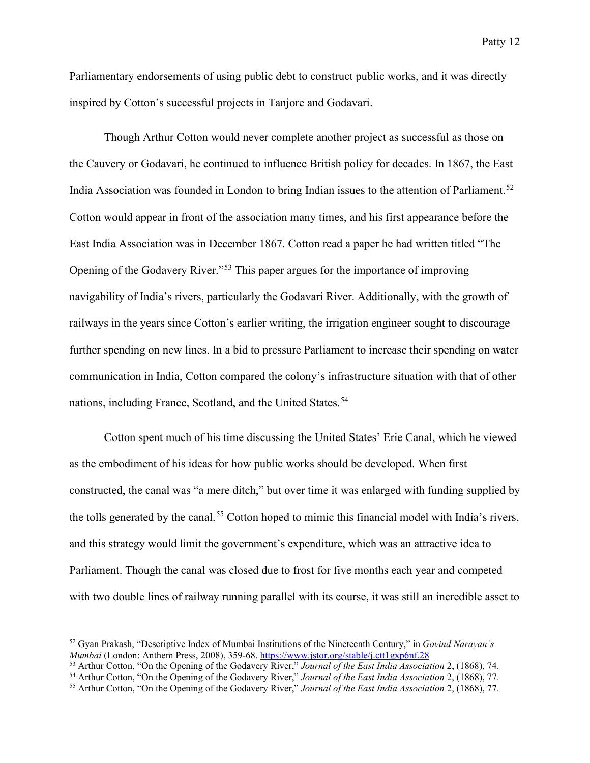Parliamentary endorsements of using public debt to construct public works, and it was directly inspired by Cotton's successful projects in Tanjore and Godavari.

Though Arthur Cotton would never complete another project as successful as those on the Cauvery or Godavari, he continued to influence British policy for decades. In 1867, the East India Association was founded in London to bring Indian issues to the attention of Parliament.<sup>[52](#page-12-0)</sup> Cotton would appear in front of the association many times, and his first appearance before the East India Association was in December 1867. Cotton read a paper he had written titled "The Opening of the Godavery River."[53](#page-12-1) This paper argues for the importance of improving navigability of India's rivers, particularly the Godavari River. Additionally, with the growth of railways in the years since Cotton's earlier writing, the irrigation engineer sought to discourage further spending on new lines. In a bid to pressure Parliament to increase their spending on water communication in India, Cotton compared the colony's infrastructure situation with that of other nations, including France, Scotland, and the United States. [54](#page-12-2)

Cotton spent much of his time discussing the United States' Erie Canal, which he viewed as the embodiment of his ideas for how public works should be developed. When first constructed, the canal was "a mere ditch," but over time it was enlarged with funding supplied by the tolls generated by the canal.<sup>[55](#page-12-3)</sup> Cotton hoped to mimic this financial model with India's rivers, and this strategy would limit the government's expenditure, which was an attractive idea to Parliament. Though the canal was closed due to frost for five months each year and competed with two double lines of railway running parallel with its course, it was still an incredible asset to

<span id="page-12-0"></span><sup>52</sup> Gyan Prakash, "Descriptive Index of Mumbai Institutions of the Nineteenth Century," in *Govind Narayan's Mumbai* (London: Anthem Press, 2008), 359-68. <https://www.jstor.org/stable/j.ctt1gxp6nf.28>

<span id="page-12-1"></span><sup>53</sup> Arthur Cotton, "On the Opening of the Godavery River," *Journal of the East India Association* 2, (1868), 74.

<span id="page-12-2"></span><sup>54</sup> Arthur Cotton, "On the Opening of the Godavery River," *Journal of the East India Association* 2, (1868), 77.

<span id="page-12-3"></span><sup>55</sup> Arthur Cotton, "On the Opening of the Godavery River," *Journal of the East India Association* 2, (1868), 77.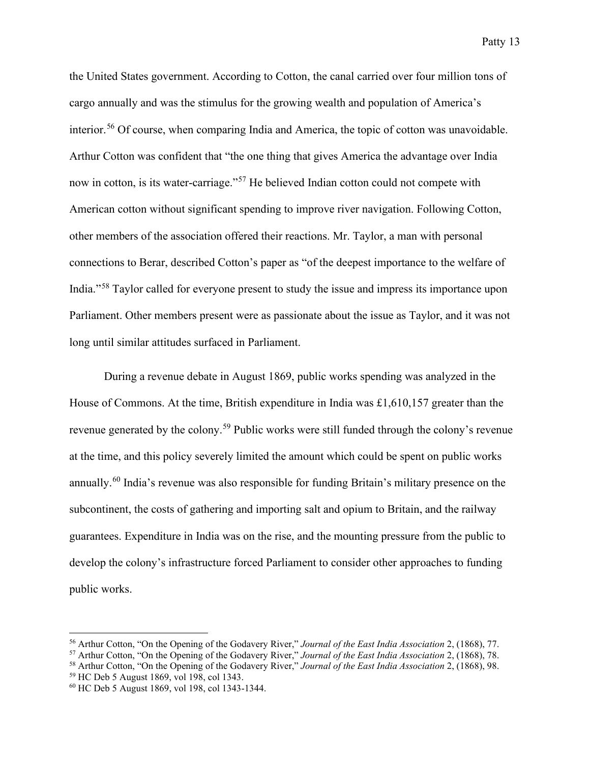the United States government. According to Cotton, the canal carried over four million tons of cargo annually and was the stimulus for the growing wealth and population of America's interior. [56](#page-13-0) Of course, when comparing India and America, the topic of cotton was unavoidable. Arthur Cotton was confident that "the one thing that gives America the advantage over India now in cotton, is its water-carriage."<sup>[57](#page-13-1)</sup> He believed Indian cotton could not compete with American cotton without significant spending to improve river navigation. Following Cotton, other members of the association offered their reactions. Mr. Taylor, a man with personal connections to Berar, described Cotton's paper as "of the deepest importance to the welfare of India."[58](#page-13-2) Taylor called for everyone present to study the issue and impress its importance upon Parliament. Other members present were as passionate about the issue as Taylor, and it was not long until similar attitudes surfaced in Parliament.

During a revenue debate in August 1869, public works spending was analyzed in the House of Commons. At the time, British expenditure in India was £1,610,157 greater than the revenue generated by the colony.<sup>[59](#page-13-3)</sup> Public works were still funded through the colony's revenue at the time, and this policy severely limited the amount which could be spent on public works annually.[60](#page-13-4) India's revenue was also responsible for funding Britain's military presence on the subcontinent, the costs of gathering and importing salt and opium to Britain, and the railway guarantees. Expenditure in India was on the rise, and the mounting pressure from the public to develop the colony's infrastructure forced Parliament to consider other approaches to funding public works.

<span id="page-13-0"></span><sup>56</sup> Arthur Cotton, "On the Opening of the Godavery River," *Journal of the East India Association* 2, (1868), 77.

<span id="page-13-1"></span><sup>57</sup> Arthur Cotton, "On the Opening of the Godavery River," *Journal of the East India Association* 2, (1868), 78.

<span id="page-13-2"></span><sup>58</sup> Arthur Cotton, "On the Opening of the Godavery River," *Journal of the East India Association* 2, (1868), 98.

<span id="page-13-3"></span><sup>59</sup> HC Deb 5 August 1869, vol 198, col 1343.

<span id="page-13-4"></span><sup>60</sup> HC Deb 5 August 1869, vol 198, col 1343-1344.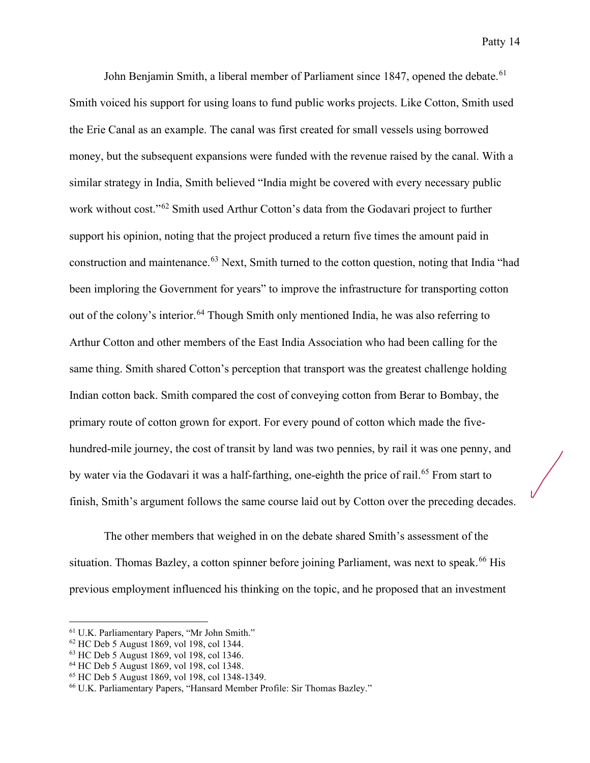John Benjamin Smith, a liberal member of Parliament since 1847, opened the debate.<sup>[61](#page-14-0)</sup> Smith voiced his support for using loans to fund public works projects. Like Cotton, Smith used the Erie Canal as an example. The canal was first created for small vessels using borrowed money, but the subsequent expansions were funded with the revenue raised by the canal. With a similar strategy in India, Smith believed "India might be covered with every necessary public work without cost."<sup>[62](#page-14-1)</sup> Smith used Arthur Cotton's data from the Godavari project to further support his opinion, noting that the project produced a return five times the amount paid in construction and maintenance.<sup>[63](#page-14-2)</sup> Next, Smith turned to the cotton question, noting that India "had been imploring the Government for years" to improve the infrastructure for transporting cotton out of the colony's interior.<sup>[64](#page-14-3)</sup> Though Smith only mentioned India, he was also referring to Arthur Cotton and other members of the East India Association who had been calling for the same thing. Smith shared Cotton's perception that transport was the greatest challenge holding Indian cotton back. Smith compared the cost of conveying cotton from Berar to Bombay, the primary route of cotton grown for export. For every pound of cotton which made the fivehundred-mile journey, the cost of transit by land was two pennies, by rail it was one penny, and by water via the Godavari it was a half-farthing, one-eighth the price of rail.<sup>[65](#page-14-4)</sup> From start to finish, Smith's argument follows the same course laid out by Cotton over the preceding decades.

The other members that weighed in on the debate shared Smith's assessment of the situation. Thomas Bazley, a cotton spinner before joining Parliament, was next to speak.<sup>[66](#page-14-5)</sup> His previous employment influenced his thinking on the topic, and he proposed that an investment

<span id="page-14-0"></span><sup>61</sup> U.K. Parliamentary Papers, "Mr John Smith."

<span id="page-14-1"></span> $62$  HC Deb 5 August 1869, vol 198, col 1344.

<span id="page-14-2"></span><sup>63</sup> HC Deb 5 August 1869, vol 198, col 1346.

<span id="page-14-3"></span><sup>64</sup> HC Deb 5 August 1869, vol 198, col 1348.

<span id="page-14-4"></span><sup>65</sup> HC Deb 5 August 1869, vol 198, col 1348-1349.

<span id="page-14-5"></span><sup>66</sup> U.K. Parliamentary Papers, "Hansard Member Profile: Sir Thomas Bazley."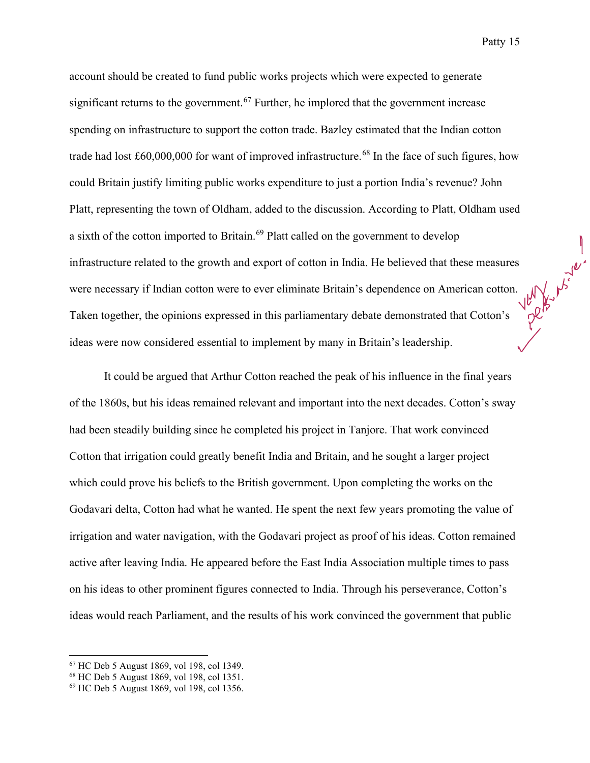account should be created to fund public works projects which were expected to generate significant returns to the government.<sup>[67](#page-15-0)</sup> Further, he implored that the government increase spending on infrastructure to support the cotton trade. Bazley estimated that the Indian cotton trade had lost  $\text{\pounds}60,000,000$  for want of improved infrastructure.<sup>[68](#page-15-1)</sup> In the face of such figures, how could Britain justify limiting public works expenditure to just a portion India's revenue? John Platt, representing the town of Oldham, added to the discussion. According to Platt, Oldham used a sixth of the cotton imported to Britain.<sup>[69](#page-15-2)</sup> Platt called on the government to develop infrastructure related to the growth and export of cotton in India. He believed that these measures were necessary if Indian cotton were to ever eliminate Britain's dependence on American cotton. Taken together, the opinions expressed in this parliamentary debate demonstrated that Cotton's ideas were now considered essential to implement by many in Britain's leadership.

It could be argued that Arthur Cotton reached the peak of his influence in the final years of the 1860s, but his ideas remained relevant and important into the next decades. Cotton's sway had been steadily building since he completed his project in Tanjore. That work convinced Cotton that irrigation could greatly benefit India and Britain, and he sought a larger project which could prove his beliefs to the British government. Upon completing the works on the Godavari delta, Cotton had what he wanted. He spent the next few years promoting the value of irrigation and water navigation, with the Godavari project as proof of his ideas. Cotton remained active after leaving India. He appeared before the East India Association multiple times to pass on his ideas to other prominent figures connected to India. Through his perseverance, Cotton's ideas would reach Parliament, and the results of his work convinced the government that public

<span id="page-15-0"></span><sup>67</sup> HC Deb 5 August 1869, vol 198, col 1349.

<span id="page-15-1"></span><sup>68</sup> HC Deb 5 August 1869, vol 198, col 1351.

<span id="page-15-2"></span><sup>69</sup> HC Deb 5 August 1869, vol 198, col 1356.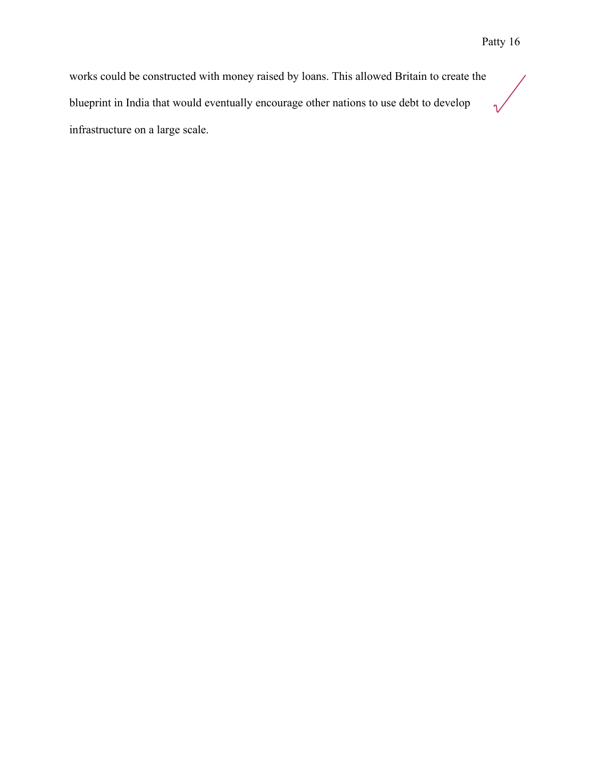works could be constructed with money raised by loans. This allowed Britain to create the blueprint in India that would eventually encourage other nations to use debt to develop  $\sqrt{}$ infrastructure on a large scale.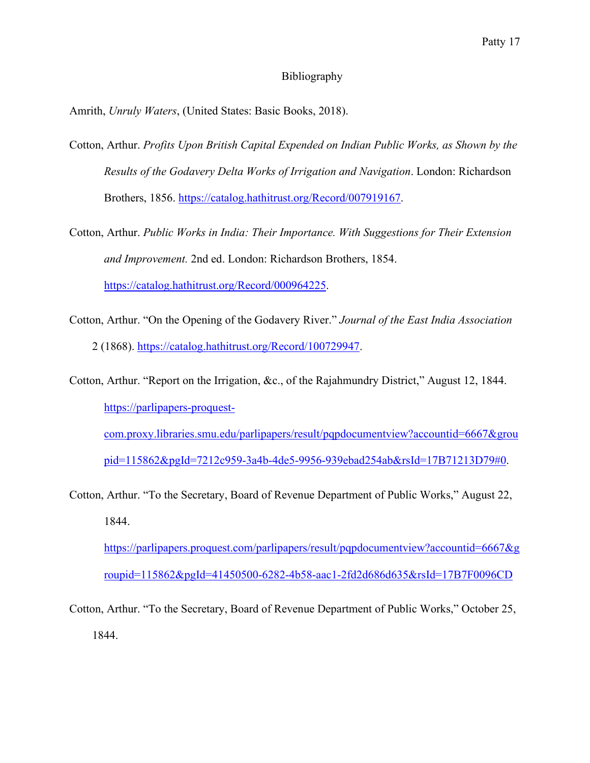#### Bibliography

Amrith, *Unruly Waters*, (United States: Basic Books, 2018).

- Cotton, Arthur. *Profits Upon British Capital Expended on Indian Public Works, as Shown by the Results of the Godavery Delta Works of Irrigation and Navigation*. London: Richardson Brothers, 1856. [https://catalog.hathitrust.org/Record/007919167.](https://catalog.hathitrust.org/Record/007919167)
- Cotton, Arthur. *Public Works in India: Their Importance. With Suggestions for Their Extension and Improvement.* 2nd ed. London: Richardson Brothers, 1854. [https://catalog.hathitrust.org/Record/000964225.](https://catalog.hathitrust.org/Record/000964225)
- Cotton, Arthur. "On the Opening of the Godavery River." *Journal of the East India Association* 2 (1868). [https://catalog.hathitrust.org/Record/100729947.](https://catalog.hathitrust.org/Record/100729947)
- Cotton, Arthur. "Report on the Irrigation, &c., of the Rajahmundry District," August 12, 1844. [https://parlipapers-proquest-](https://parlipapers-proquest-com.proxy.libraries.smu.edu/parlipapers/result/pqpdocumentview?accountid=6667&groupid=115862&pgId=7212c959-3a4b-4de5-9956-939ebad254ab&rsId=17B71213D79#0)

[com.proxy.libraries.smu.edu/parlipapers/result/pqpdocumentview?accountid=6667&grou](https://parlipapers-proquest-com.proxy.libraries.smu.edu/parlipapers/result/pqpdocumentview?accountid=6667&groupid=115862&pgId=7212c959-3a4b-4de5-9956-939ebad254ab&rsId=17B71213D79#0) [pid=115862&pgId=7212c959-3a4b-4de5-9956-939ebad254ab&rsId=17B71213D79#0.](https://parlipapers-proquest-com.proxy.libraries.smu.edu/parlipapers/result/pqpdocumentview?accountid=6667&groupid=115862&pgId=7212c959-3a4b-4de5-9956-939ebad254ab&rsId=17B71213D79#0)

Cotton, Arthur. "To the Secretary, Board of Revenue Department of Public Works," August 22, 1844.

[https://parlipapers.proquest.com/parlipapers/result/pqpdocumentview?accountid=6667&g](https://parlipapers.proquest.com/parlipapers/result/pqpdocumentview?accountid=6667&groupid=115862&pgId=41450500-6282-4b58-aac1-2fd2d686d635&rsId=17B7F0096CD) [roupid=115862&pgId=41450500-6282-4b58-aac1-2fd2d686d635&rsId=17B7F0096CD](https://parlipapers.proquest.com/parlipapers/result/pqpdocumentview?accountid=6667&groupid=115862&pgId=41450500-6282-4b58-aac1-2fd2d686d635&rsId=17B7F0096CD)

Cotton, Arthur. "To the Secretary, Board of Revenue Department of Public Works," October 25, 1844.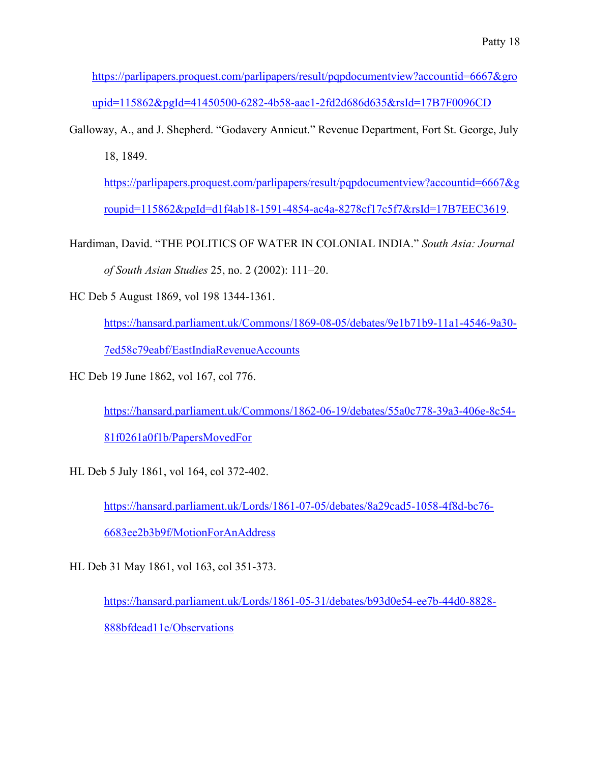[https://parlipapers.proquest.com/parlipapers/result/pqpdocumentview?accountid=6667&gro](https://parlipapers.proquest.com/parlipapers/result/pqpdocumentview?accountid=6667&groupid=115862&pgId=41450500-6282-4b58-aac1-2fd2d686d635&rsId=17B7F0096CD) [upid=115862&pgId=41450500-6282-4b58-aac1-2fd2d686d635&rsId=17B7F0096CD](https://parlipapers.proquest.com/parlipapers/result/pqpdocumentview?accountid=6667&groupid=115862&pgId=41450500-6282-4b58-aac1-2fd2d686d635&rsId=17B7F0096CD)

Galloway, A., and J. Shepherd. "Godavery Annicut." Revenue Department, Fort St. George, July 18, 1849.

[https://parlipapers.proquest.com/parlipapers/result/pqpdocumentview?accountid=6667&g](https://parlipapers.proquest.com/parlipapers/result/pqpdocumentview?accountid=6667&groupid=115862&pgId=d1f4ab18-1591-4854-ac4a-8278cf17c5f7&rsId=17B7EEC3619) [roupid=115862&pgId=d1f4ab18-1591-4854-ac4a-8278cf17c5f7&rsId=17B7EEC3619.](https://parlipapers.proquest.com/parlipapers/result/pqpdocumentview?accountid=6667&groupid=115862&pgId=d1f4ab18-1591-4854-ac4a-8278cf17c5f7&rsId=17B7EEC3619)

Hardiman, David. "THE POLITICS OF WATER IN COLONIAL INDIA." *South Asia: Journal* 

*of South Asian Studies* 25, no. 2 (2002): 111–20.

HC Deb 5 August 1869, vol 198 1344-1361.

[https://hansard.parliament.uk/Commons/1869-08-05/debates/9e1b71b9-11a1-4546-9a30-](https://hansard.parliament.uk/Commons/1869-08-05/debates/9e1b71b9-11a1-4546-9a30-7ed58c79eabf/EastIndiaRevenueAccounts)

[7ed58c79eabf/EastIndiaRevenueAccounts](https://hansard.parliament.uk/Commons/1869-08-05/debates/9e1b71b9-11a1-4546-9a30-7ed58c79eabf/EastIndiaRevenueAccounts)

HC Deb 19 June 1862, vol 167, col 776.

[https://hansard.parliament.uk/Commons/1862-06-19/debates/55a0c778-39a3-406e-8c54-](https://hansard.parliament.uk/Commons/1862-06-19/debates/55a0c778-39a3-406e-8c54-81f0261a0f1b/PapersMovedFor) [81f0261a0f1b/PapersMovedFor](https://hansard.parliament.uk/Commons/1862-06-19/debates/55a0c778-39a3-406e-8c54-81f0261a0f1b/PapersMovedFor)

HL Deb 5 July 1861, vol 164, col 372-402.

[https://hansard.parliament.uk/Lords/1861-07-05/debates/8a29cad5-1058-4f8d-bc76-](https://hansard.parliament.uk/Lords/1861-07-05/debates/8a29cad5-1058-4f8d-bc76-6683ee2b3b9f/MotionForAnAddress) [6683ee2b3b9f/MotionForAnAddress](https://hansard.parliament.uk/Lords/1861-07-05/debates/8a29cad5-1058-4f8d-bc76-6683ee2b3b9f/MotionForAnAddress)

HL Deb 31 May 1861, vol 163, col 351-373.

[https://hansard.parliament.uk/Lords/1861-05-31/debates/b93d0e54-ee7b-44d0-8828-](https://hansard.parliament.uk/Lords/1861-05-31/debates/b93d0e54-ee7b-44d0-8828-888bfdead11e/Observations) [888bfdead11e/Observations](https://hansard.parliament.uk/Lords/1861-05-31/debates/b93d0e54-ee7b-44d0-8828-888bfdead11e/Observations)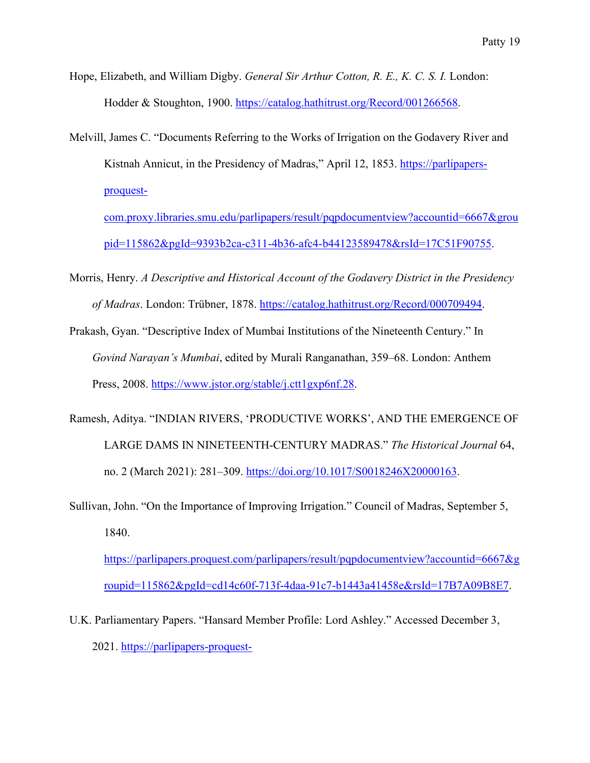- Hope, Elizabeth, and William Digby. *General Sir Arthur Cotton, R. E., K. C. S. I.* London: Hodder & Stoughton, 1900. [https://catalog.hathitrust.org/Record/001266568.](https://catalog.hathitrust.org/Record/001266568)
- Melvill, James C. "Documents Referring to the Works of Irrigation on the Godavery River and Kistnah Annicut, in the Presidency of Madras," April 12, 1853. [https://parlipapers](https://parlipapers-proquest-com.proxy.libraries.smu.edu/parlipapers/result/pqpdocumentview?accountid=6667&groupid=115862&pgId=9393b2ca-c311-4b36-afc4-b44123589478&rsId=17C51F90755)[proquest-](https://parlipapers-proquest-com.proxy.libraries.smu.edu/parlipapers/result/pqpdocumentview?accountid=6667&groupid=115862&pgId=9393b2ca-c311-4b36-afc4-b44123589478&rsId=17C51F90755)

[com.proxy.libraries.smu.edu/parlipapers/result/pqpdocumentview?accountid=6667&grou](https://parlipapers-proquest-com.proxy.libraries.smu.edu/parlipapers/result/pqpdocumentview?accountid=6667&groupid=115862&pgId=9393b2ca-c311-4b36-afc4-b44123589478&rsId=17C51F90755) [pid=115862&pgId=9393b2ca-c311-4b36-afc4-b44123589478&rsId=17C51F90755.](https://parlipapers-proquest-com.proxy.libraries.smu.edu/parlipapers/result/pqpdocumentview?accountid=6667&groupid=115862&pgId=9393b2ca-c311-4b36-afc4-b44123589478&rsId=17C51F90755)

- Morris, Henry. *A Descriptive and Historical Account of the Godavery District in the Presidency of Madras*. London: Trübner, 1878. [https://catalog.hathitrust.org/Record/000709494.](https://catalog.hathitrust.org/Record/000709494)
- Prakash, Gyan. "Descriptive Index of Mumbai Institutions of the Nineteenth Century." In *Govind Narayan's Mumbai*, edited by Murali Ranganathan, 359–68. London: Anthem Press, 2008. [https://www.jstor.org/stable/j.ctt1gxp6nf.28.](https://www.jstor.org/stable/j.ctt1gxp6nf.28)
- Ramesh, Aditya. "INDIAN RIVERS, 'PRODUCTIVE WORKS', AND THE EMERGENCE OF LARGE DAMS IN NINETEENTH-CENTURY MADRAS." *The Historical Journal* 64, no. 2 (March 2021): 281-309. [https://doi.org/10.1017/S0018246X20000163.](https://doi.org/10.1017/S0018246X20000163)
- Sullivan, John. "On the Importance of Improving Irrigation." Council of Madras, September 5, 1840.

[https://parlipapers.proquest.com/parlipapers/result/pqpdocumentview?accountid=6667&g](https://parlipapers.proquest.com/parlipapers/result/pqpdocumentview?accountid=6667&groupid=115862&pgId=cd14c60f-713f-4daa-91c7-b1443a41458e&rsId=17B7A09B8E7) [roupid=115862&pgId=cd14c60f-713f-4daa-91c7-b1443a41458e&rsId=17B7A09B8E7.](https://parlipapers.proquest.com/parlipapers/result/pqpdocumentview?accountid=6667&groupid=115862&pgId=cd14c60f-713f-4daa-91c7-b1443a41458e&rsId=17B7A09B8E7)

U.K. Parliamentary Papers. "Hansard Member Profile: Lord Ashley." Accessed December 3, 2021. [https://parlipapers-proquest-](https://parlipapers-proquest-com.proxy.libraries.smu.edu/parlipapers/result/pqpdocumentview?accountid=6667&groupid=115862&pgId=1384f13f-db60-4c79-ba4c-f5de2fa4fad5&rsId=17CE77C0A17#0)